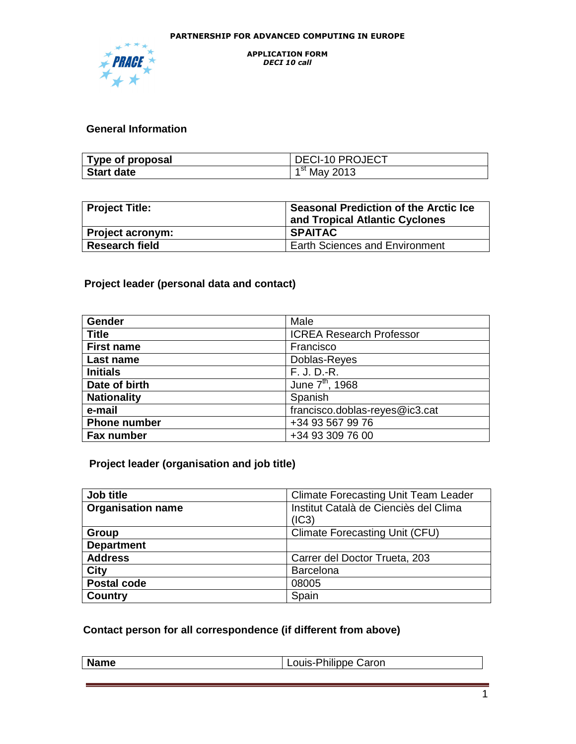

# **General Information**

| Type of proposal  | DECI-10 PROJECT |
|-------------------|-----------------|
| <b>Start date</b> | $1st$ May 2013  |

| Project Title:        | <b>Seasonal Prediction of the Arctic Ice</b><br>and Tropical Atlantic Cyclones |  |
|-----------------------|--------------------------------------------------------------------------------|--|
| Project acronym:      | <b>SPAITAC</b>                                                                 |  |
| <b>Research field</b> | <b>Earth Sciences and Environment</b>                                          |  |

# **Project leader (personal data and contact)**

| Gender              | Male                            |  |  |
|---------------------|---------------------------------|--|--|
| <b>Title</b>        | <b>ICREA Research Professor</b> |  |  |
| <b>First name</b>   | Francisco                       |  |  |
| Last name           | Doblas-Reyes                    |  |  |
| <b>Initials</b>     | F. J. D.-R.                     |  |  |
| Date of birth       | June 7 <sup>th</sup> , 1968     |  |  |
| <b>Nationality</b>  | Spanish                         |  |  |
| e-mail              | francisco.doblas-reyes@ic3.cat  |  |  |
| <b>Phone number</b> | +34 93 567 99 76                |  |  |
| <b>Fax number</b>   | +34 93 309 76 00                |  |  |

# **Project leader (organisation and job title)**

| Job title                | <b>Climate Forecasting Unit Team Leader</b> |  |  |
|--------------------------|---------------------------------------------|--|--|
| <b>Organisation name</b> | Institut Català de Cienciès del Clima       |  |  |
|                          | (IC3)                                       |  |  |
| Group                    | <b>Climate Forecasting Unit (CFU)</b>       |  |  |
| <b>Department</b>        |                                             |  |  |
| <b>Address</b>           | Carrer del Doctor Trueta, 203               |  |  |
| <b>City</b>              | Barcelona                                   |  |  |
| <b>Postal code</b>       | 08005                                       |  |  |
| Country                  | Spain                                       |  |  |

# **Contact person for all correspondence (if different from above)**

| Name | Louis-Philippe Caron |
|------|----------------------|
|      |                      |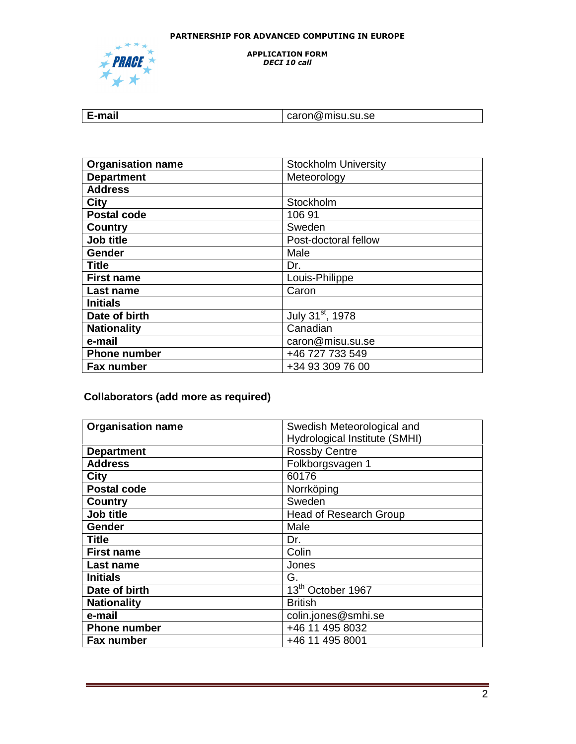

APPLICATION FORM DECI 10 call

| :-mail | caron@misu.su.se |
|--------|------------------|
|        |                  |

| <b>Organisation name</b> | <b>Stockholm University</b>  |  |  |
|--------------------------|------------------------------|--|--|
| <b>Department</b>        | Meteorology                  |  |  |
| <b>Address</b>           |                              |  |  |
| <b>City</b>              | Stockholm                    |  |  |
| <b>Postal code</b>       | 10691                        |  |  |
| <b>Country</b>           | Sweden                       |  |  |
| Job title                | Post-doctoral fellow         |  |  |
| Gender                   | Male                         |  |  |
| <b>Title</b>             | Dr.                          |  |  |
| <b>First name</b>        | Louis-Philippe               |  |  |
| Last name                | Caron                        |  |  |
| <b>Initials</b>          |                              |  |  |
| Date of birth            | July 31 <sup>st</sup> , 1978 |  |  |
| <b>Nationality</b>       | Canadian                     |  |  |
| e-mail                   | caron@misu.su.se             |  |  |
| <b>Phone number</b>      | +46 727 733 549              |  |  |
| Fax number               | +34 93 309 76 00             |  |  |

# **Collaborators (add more as required)**

| <b>Organisation name</b> | Swedish Meteorological and    |  |  |  |
|--------------------------|-------------------------------|--|--|--|
|                          | Hydrological Institute (SMHI) |  |  |  |
| <b>Department</b>        | <b>Rossby Centre</b>          |  |  |  |
| <b>Address</b>           | Folkborgsvagen 1              |  |  |  |
| <b>City</b>              | 60176                         |  |  |  |
| <b>Postal code</b>       | Norrköping                    |  |  |  |
| <b>Country</b>           | Sweden                        |  |  |  |
| Job title                | Head of Research Group        |  |  |  |
| Gender                   | Male                          |  |  |  |
| <b>Title</b>             | Dr.                           |  |  |  |
| <b>First name</b>        | Colin                         |  |  |  |
| Last name                | Jones                         |  |  |  |
| <b>Initials</b>          | G.                            |  |  |  |
| Date of birth            | 13 <sup>th</sup> October 1967 |  |  |  |
| <b>Nationality</b>       | <b>British</b>                |  |  |  |
| e-mail                   | colin.jones@smhi.se           |  |  |  |
| <b>Phone number</b>      | +46 11 495 8032               |  |  |  |
| Fax number               | +46 11 495 8001               |  |  |  |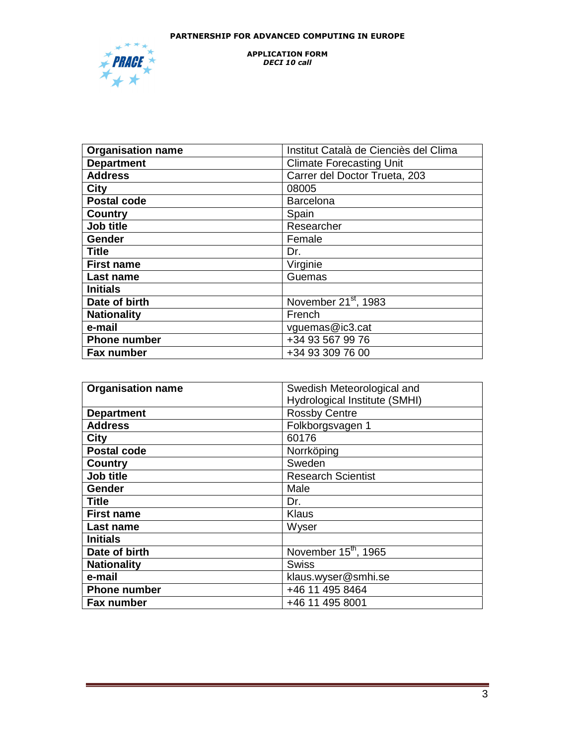

#### APPLICATION FORM DECI 10 call

| <b>Organisation name</b> | Institut Català de Cienciès del Clima |  |  |
|--------------------------|---------------------------------------|--|--|
| <b>Department</b>        | <b>Climate Forecasting Unit</b>       |  |  |
| <b>Address</b>           | Carrer del Doctor Trueta, 203         |  |  |
| <b>City</b>              | 08005                                 |  |  |
| <b>Postal code</b>       | <b>Barcelona</b>                      |  |  |
| Country                  | Spain                                 |  |  |
| Job title                | Researcher                            |  |  |
| Gender                   | Female                                |  |  |
| <b>Title</b>             | Dr.                                   |  |  |
| <b>First name</b>        | Virginie                              |  |  |
| Last name                | Guemas                                |  |  |
| <b>Initials</b>          |                                       |  |  |
| Date of birth            | November 21 <sup>st</sup> , 1983      |  |  |
| <b>Nationality</b>       | French                                |  |  |
| e-mail                   | vguemas@ic3.cat                       |  |  |
| <b>Phone number</b>      | +34 93 567 99 76                      |  |  |
| Fax number               | +34 93 309 76 00                      |  |  |

| <b>Organisation name</b> | Swedish Meteorological and       |  |  |  |
|--------------------------|----------------------------------|--|--|--|
|                          | Hydrological Institute (SMHI)    |  |  |  |
| <b>Department</b>        | <b>Rossby Centre</b>             |  |  |  |
| <b>Address</b>           | Folkborgsvagen 1                 |  |  |  |
| <b>City</b>              | 60176                            |  |  |  |
| <b>Postal code</b>       | Norrköping                       |  |  |  |
| <b>Country</b>           | Sweden                           |  |  |  |
| Job title                | <b>Research Scientist</b>        |  |  |  |
| Gender                   | Male                             |  |  |  |
| <b>Title</b>             | Dr.                              |  |  |  |
| <b>First name</b>        | <b>Klaus</b>                     |  |  |  |
| Last name                | Wyser                            |  |  |  |
| <b>Initials</b>          |                                  |  |  |  |
| Date of birth            | November 15 <sup>th</sup> , 1965 |  |  |  |
| <b>Nationality</b>       | <b>Swiss</b>                     |  |  |  |
| e-mail                   | klaus.wyser@smhi.se              |  |  |  |
| <b>Phone number</b>      | +46 11 495 8464                  |  |  |  |
| Fax number               | +46 11 495 8001                  |  |  |  |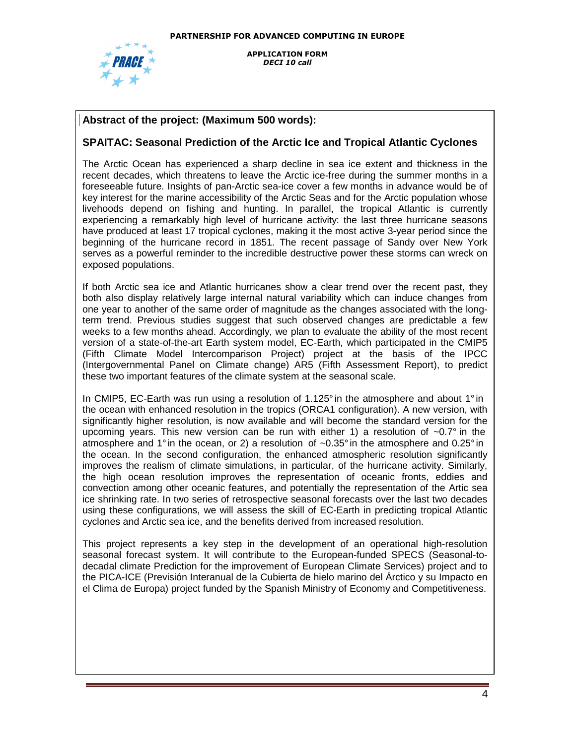

## **Abstract of the project: (Maximum 500 words):**

## **SPAITAC: Seasonal Prediction of the Arctic Ice and Tropical Atlantic Cyclones**

 have produced at least 17 tropical cyclones, making it the most active 3-year period since the The Arctic Ocean has experienced a sharp decline in sea ice extent and thickness in the recent decades, which threatens to leave the Arctic ice-free during the summer months in a foreseeable future. Insights of pan-Arctic sea-ice cover a few months in advance would be of key interest for the marine accessibility of the Arctic Seas and for the Arctic population whose livehoods depend on fishing and hunting. In parallel, the tropical Atlantic is currently experiencing a remarkably high level of hurricane activity: the last three hurricane seasons beginning of the hurricane record in 1851. The recent passage of Sandy over New York serves as a powerful reminder to the incredible destructive power these storms can wreck on exposed populations.

If both Arctic sea ice and Atlantic hurricanes show a clear trend over the recent past, they both also display relatively large internal natural variability which can induce changes from one year to another of the same order of magnitude as the changes associated with the longterm trend. Previous studies suggest that such observed changes are predictable a few weeks to a few months ahead. Accordingly, we plan to evaluate the ability of the most recent version of a state-of-the-art Earth system model, EC-Earth, which participated in the CMIP5 (Fifth Climate Model Intercomparison Project) project at the basis of the IPCC (Intergovernmental Panel on Climate change) AR5 (Fifth Assessment Report), to predict these two important features of the climate system at the seasonal scale.

In CMIP5, EC-Earth was run using a resolution of 1.125° in the atmosphere and about 1° in the ocean with enhanced resolution in the tropics (ORCA1 configuration). A new version, with significantly higher resolution, is now available and will become the standard version for the upcoming years. This new version can be run with either 1) a resolution of  $\sim 0.7^\circ$  in the atmosphere and 1° in the ocean, or 2) a resolution of  $\sim 0.35^{\circ}$  in the atmosphere and 0.25° in the ocean. In the second configuration, the enhanced atmospheric resolution significantly improves the realism of climate simulations, in particular, of the hurricane activity. Similarly, the high ocean resolution improves the representation of oceanic fronts, eddies and convection among other oceanic features, and potentially the representation of the Artic sea ice shrinking rate. In two series of retrospective seasonal forecasts over the last two decades using these configurations, we will assess the skill of EC-Earth in predicting tropical Atlantic cyclones and Arctic sea ice, and the benefits derived from increased resolution.

This project represents a key step in the development of an operational high-resolution seasonal forecast system. It will contribute to the European-funded SPECS (Seasonal-todecadal climate Prediction for the improvement of European Climate Services) project and to the PICA-ICE (Previsión Interanual de la Cubierta de hielo marino del Árctico y su Impacto en el Clima de Europa) project funded by the Spanish Ministry of Economy and Competitiveness.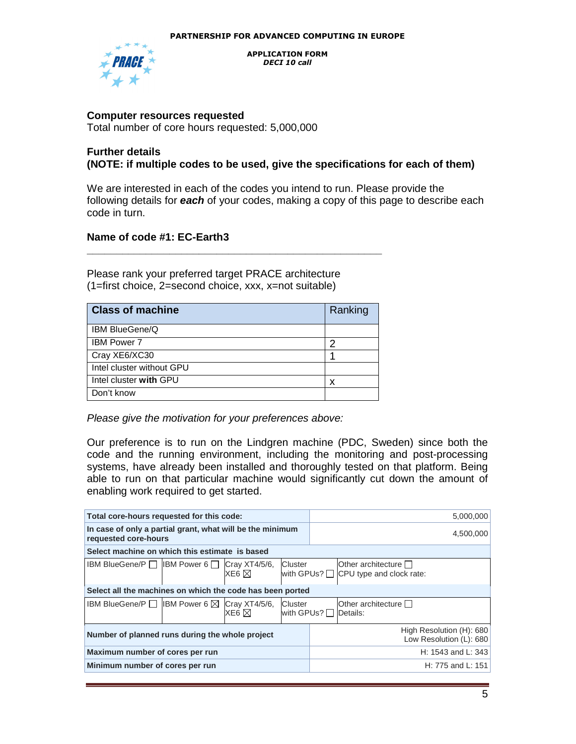

## **Computer resources requested**

Total number of core hours requested: 5,000,000

## **Further details (NOTE: if multiple codes to be used, give the specifications for each of them)**

We are interested in each of the codes you intend to run. Please provide the following details for **each** of your codes, making a copy of this page to describe each code in turn.

## **Name of code #1: EC-Earth3**

Please rank your preferred target PRACE architecture (1=first choice, 2=second choice, xxx, x=not suitable)

| <b>Class of machine</b>   | Ranking |
|---------------------------|---------|
| <b>IBM BlueGene/Q</b>     |         |
| <b>IBM Power 7</b>        | כי      |
| Cray XE6/XC30             |         |
| Intel cluster without GPU |         |
| Intel cluster with GPU    | x       |
| Don't know                |         |

**\_\_\_\_\_\_\_\_\_\_\_\_\_\_\_\_\_\_\_\_\_\_\_\_\_\_\_\_\_\_\_\_\_\_\_\_\_\_\_\_\_\_\_\_\_\_\_\_\_\_** 

Please give the motivation for your preferences above:

Our preference is to run on the Lindgren machine (PDC, Sweden) since both the code and the running environment, including the monitoring and post-processing systems, have already been installed and thoroughly tested on that platform. Being able to run on that particular machine would significantly cut down the amount of enabling work required to get started.

| Total core-hours requested for this code:                                         |  |                                                     |                         | 5,000,000 |                                                                  |
|-----------------------------------------------------------------------------------|--|-----------------------------------------------------|-------------------------|-----------|------------------------------------------------------------------|
| In case of only a partial grant, what will be the minimum<br>requested core-hours |  |                                                     | 4,500,000               |           |                                                                  |
| Select machine on which this estimate is based                                    |  |                                                     |                         |           |                                                                  |
| IBM BlueGene/P $\Box$ IBM Power 6 $\Box$                                          |  | Cray XT4/5/6,<br>XE6 $\boxtimes$                    | Cluster                 |           | Other architecture<br>with GPUs? $\Box$ CPU type and clock rate: |
| Select all the machines on which the code has been ported                         |  |                                                     |                         |           |                                                                  |
| <b>IBM BlueGene/P</b> $\Box$ <b>IBM Power 6</b> $\boxtimes$ <b>Cray XT4/5/6.</b>  |  | XE6 $\boxtimes$                                     | Cluster<br>with GPUs? □ |           | Other architecture $\Box$<br>Details:                            |
| Number of planned runs during the whole project                                   |  | High Resolution (H): 680<br>Low Resolution (L): 680 |                         |           |                                                                  |
| Maximum number of cores per run                                                   |  | H: 1543 and L: 343                                  |                         |           |                                                                  |
| Minimum number of cores per run                                                   |  | H: 775 and L: 151                                   |                         |           |                                                                  |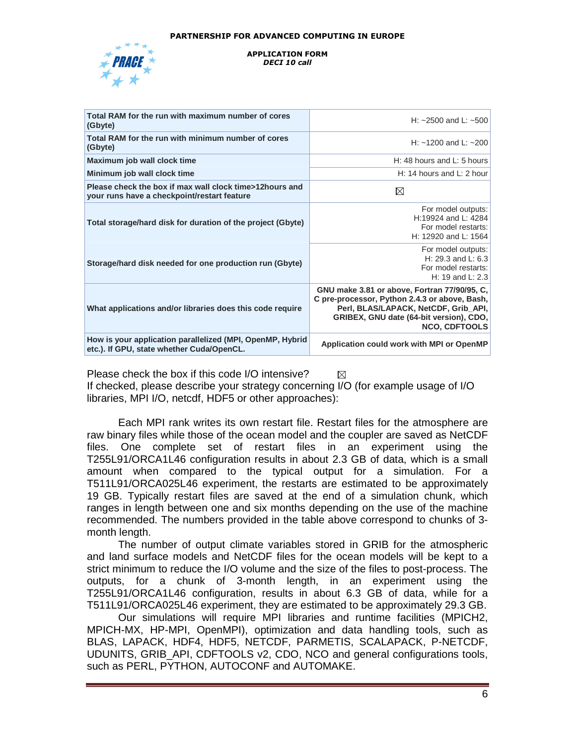

#### APPLICATION FORM DECI 10 call

| Total RAM for the run with maximum number of cores<br>(Gbyte)                                          | H: $\sim$ 2500 and L: $\sim$ 500                                                                                                                                                                         |
|--------------------------------------------------------------------------------------------------------|----------------------------------------------------------------------------------------------------------------------------------------------------------------------------------------------------------|
| Total RAM for the run with minimum number of cores<br>(Gbyte)                                          | H: $\sim$ 1200 and L: $\sim$ 200                                                                                                                                                                         |
| Maximum job wall clock time                                                                            | H: 48 hours and L: 5 hours                                                                                                                                                                               |
| Minimum job wall clock time                                                                            | H: 14 hours and L: 2 hour                                                                                                                                                                                |
| Please check the box if max wall clock time>12hours and<br>your runs have a checkpoint/restart feature | ⊠                                                                                                                                                                                                        |
| Total storage/hard disk for duration of the project (Gbyte)                                            | For model outputs:<br>H:19924 and L: 4284<br>For model restarts:<br>H: 12920 and L: 1564                                                                                                                 |
| Storage/hard disk needed for one production run (Gbyte)                                                | For model outputs:<br>H: 29.3 and L: $6.3$<br>For model restarts:<br>H: 19 and L: $2.3$                                                                                                                  |
| What applications and/or libraries does this code require                                              | GNU make 3.81 or above, Fortran 77/90/95, C.<br>C pre-processor, Python 2.4.3 or above, Bash,<br>Perl, BLAS/LAPACK, NetCDF, Grib API,<br>GRIBEX, GNU date (64-bit version), CDO,<br><b>NCO, CDFTOOLS</b> |
| How is your application parallelized (MPI, OpenMP, Hybrid<br>etc.). If GPU, state whether Cuda/OpenCL. | Application could work with MPI or OpenMP                                                                                                                                                                |

Please check the box if this code I/O intensive? ⊠ If checked, please describe your strategy concerning I/O (for example usage of I/O libraries, MPI I/O, netcdf, HDF5 or other approaches):

Each MPI rank writes its own restart file. Restart files for the atmosphere are raw binary files while those of the ocean model and the coupler are saved as NetCDF files. One complete set of restart files in an experiment using the T255L91/ORCA1L46 configuration results in about 2.3 GB of data, which is a small amount when compared to the typical output for a simulation. For a T511L91/ORCA025L46 experiment, the restarts are estimated to be approximately 19 GB. Typically restart files are saved at the end of a simulation chunk, which ranges in length between one and six months depending on the use of the machine recommended. The numbers provided in the table above correspond to chunks of 3 month length.

The number of output climate variables stored in GRIB for the atmospheric and land surface models and NetCDF files for the ocean models will be kept to a strict minimum to reduce the I/O volume and the size of the files to post-process. The outputs, for a chunk of 3-month length, in an experiment using the T255L91/ORCA1L46 configuration, results in about 6.3 GB of data, while for a T511L91/ORCA025L46 experiment, they are estimated to be approximately 29.3 GB.

Our simulations will require MPI libraries and runtime facilities (MPICH2, MPICH-MX, HP-MPI, OpenMPI), optimization and data handling tools, such as BLAS, LAPACK, HDF4, HDF5, NETCDF, PARMETIS, SCALAPACK, P-NETCDF, UDUNITS, GRIB\_API, CDFTOOLS v2, CDO, NCO and general configurations tools, such as PERL, PYTHON, AUTOCONF and AUTOMAKE.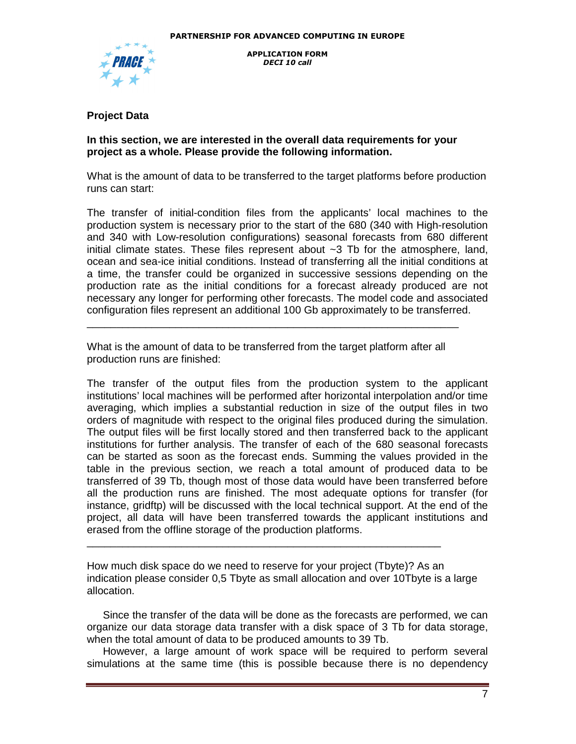

# **Project Data**

## **In this section, we are interested in the overall data requirements for your project as a whole. Please provide the following information.**

What is the amount of data to be transferred to the target platforms before production runs can start:

The transfer of initial-condition files from the applicants' local machines to the production system is necessary prior to the start of the 680 (340 with High-resolution and 340 with Low-resolution configurations) seasonal forecasts from 680 different initial climate states. These files represent about  $\sim$ 3 Tb for the atmosphere, land, ocean and sea-ice initial conditions. Instead of transferring all the initial conditions at a time, the transfer could be organized in successive sessions depending on the production rate as the initial conditions for a forecast already produced are not necessary any longer for performing other forecasts. The model code and associated configuration files represent an additional 100 Gb approximately to be transferred.

What is the amount of data to be transferred from the target platform after all production runs are finished:

\_\_\_\_\_\_\_\_\_\_\_\_\_\_\_\_\_\_\_\_\_\_\_\_\_\_\_\_\_\_\_\_\_\_\_\_\_\_\_\_\_\_\_\_\_\_\_\_\_\_\_\_\_\_\_\_\_\_\_\_\_\_\_

The transfer of the output files from the production system to the applicant institutions' local machines will be performed after horizontal interpolation and/or time averaging, which implies a substantial reduction in size of the output files in two orders of magnitude with respect to the original files produced during the simulation. The output files will be first locally stored and then transferred back to the applicant institutions for further analysis. The transfer of each of the 680 seasonal forecasts can be started as soon as the forecast ends. Summing the values provided in the table in the previous section, we reach a total amount of produced data to be transferred of 39 Tb, though most of those data would have been transferred before all the production runs are finished. The most adequate options for transfer (for instance, gridftp) will be discussed with the local technical support. At the end of the project, all data will have been transferred towards the applicant institutions and erased from the offline storage of the production platforms.

How much disk space do we need to reserve for your project (Tbyte)? As an indication please consider 0,5 Tbyte as small allocation and over 10Tbyte is a large allocation.

\_\_\_\_\_\_\_\_\_\_\_\_\_\_\_\_\_\_\_\_\_\_\_\_\_\_\_\_\_\_\_\_\_\_\_\_\_\_\_\_\_\_\_\_\_\_\_\_\_\_\_\_\_\_\_\_\_\_\_\_

Since the transfer of the data will be done as the forecasts are performed, we can organize our data storage data transfer with a disk space of 3 Tb for data storage, when the total amount of data to be produced amounts to 39 Tb.

However, a large amount of work space will be required to perform several simulations at the same time (this is possible because there is no dependency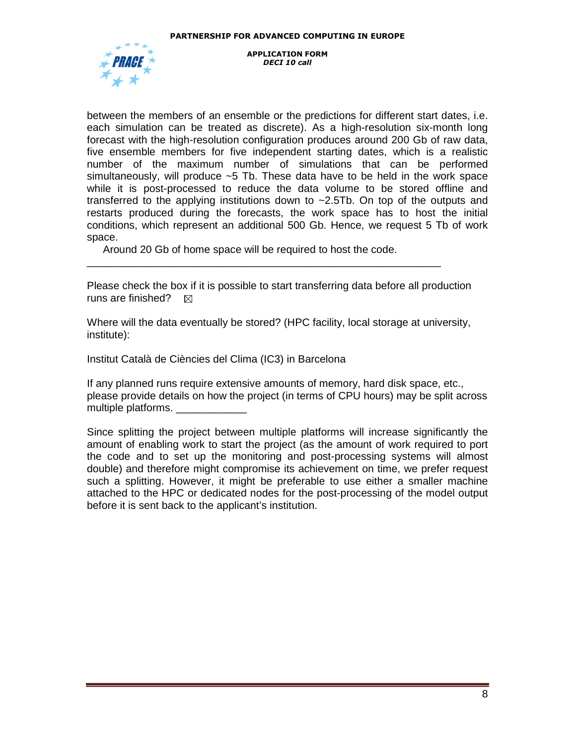

between the members of an ensemble or the predictions for different start dates, i.e. each simulation can be treated as discrete). As a high-resolution six-month long forecast with the high-resolution configuration produces around 200 Gb of raw data, five ensemble members for five independent starting dates, which is a realistic number of the maximum number of simulations that can be performed simultaneously, will produce  $\sim$  5 Tb. These data have to be held in the work space while it is post-processed to reduce the data volume to be stored offline and transferred to the applying institutions down to ~2.5Tb. On top of the outputs and restarts produced during the forecasts, the work space has to host the initial conditions, which represent an additional 500 Gb. Hence, we request 5 Tb of work space.

Around 20 Gb of home space will be required to host the code.

\_\_\_\_\_\_\_\_\_\_\_\_\_\_\_\_\_\_\_\_\_\_\_\_\_\_\_\_\_\_\_\_\_\_\_\_\_\_\_\_\_\_\_\_\_\_\_\_\_\_\_\_\_\_\_\_\_\_\_\_

Please check the box if it is possible to start transferring data before all production runs are finished?  $\boxtimes$ 

Where will the data eventually be stored? (HPC facility, local storage at university, institute):

Institut Català de Ciències del Clima (IC3) in Barcelona

If any planned runs require extensive amounts of memory, hard disk space, etc., please provide details on how the project (in terms of CPU hours) may be split across multiple platforms.

Since splitting the project between multiple platforms will increase significantly the amount of enabling work to start the project (as the amount of work required to port the code and to set up the monitoring and post-processing systems will almost double) and therefore might compromise its achievement on time, we prefer request such a splitting. However, it might be preferable to use either a smaller machine attached to the HPC or dedicated nodes for the post-processing of the model output before it is sent back to the applicant's institution.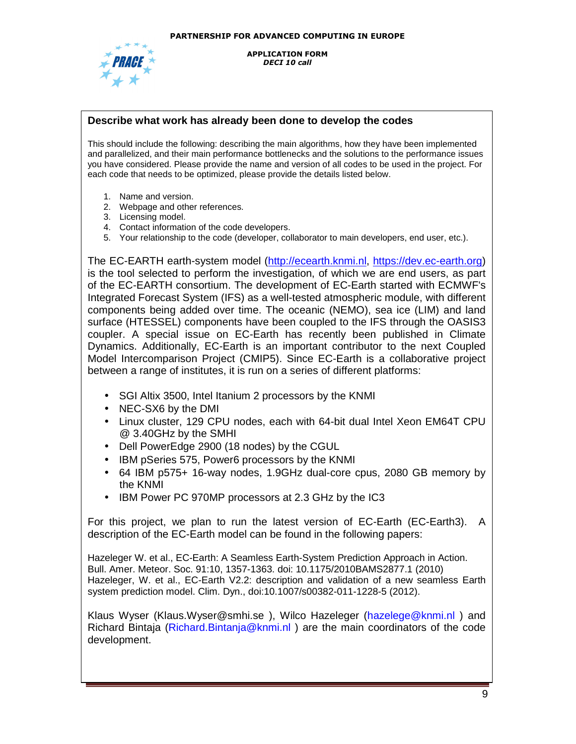

### **Describe what work has already been done to develop the codes**

This should include the following: describing the main algorithms, how they have been implemented and parallelized, and their main performance bottlenecks and the solutions to the performance issues you have considered. Please provide the name and version of all codes to be used in the project. For each code that needs to be optimized, please provide the details listed below.

- 1. Name and version.
- 2. Webpage and other references.
- 3. Licensing model.
- 4. Contact information of the code developers.
- 5. Your relationship to the code (developer, collaborator to main developers, end user, etc.).

The EC-EARTH earth-system model (http://ecearth.knmi.nl, https://dev.ec-earth.org) is the tool selected to perform the investigation, of which we are end users, as part of the EC-EARTH consortium. The development of EC-Earth started with ECMWF's Integrated Forecast System (IFS) as a well-tested atmospheric module, with different components being added over time. The oceanic (NEMO), sea ice (LIM) and land surface (HTESSEL) components have been coupled to the IFS through the OASIS3 coupler. A special issue on EC-Earth has recently been published in Climate Dynamics. Additionally, EC-Earth is an important contributor to the next Coupled Model Intercomparison Project (CMIP5). Since EC-Earth is a collaborative project between a range of institutes, it is run on a series of different platforms:

- SGI Altix 3500, Intel Itanium 2 processors by the KNMI
- NEC-SX6 by the DMI
- Linux cluster, 129 CPU nodes, each with 64-bit dual Intel Xeon EM64T CPU @ 3.40GHz by the SMHI
- Dell PowerEdge 2900 (18 nodes) by the CGUL
- IBM pSeries 575, Power6 processors by the KNMI
- 64 IBM p575+ 16-way nodes, 1.9GHz dual-core cpus, 2080 GB memory by the KNMI
- IBM Power PC 970MP processors at 2.3 GHz by the IC3

For this project, we plan to run the latest version of EC-Earth (EC-Earth3). A description of the EC-Earth model can be found in the following papers:

Hazeleger W. et al., EC-Earth: A Seamless Earth-System Prediction Approach in Action. Bull. Amer. Meteor. Soc. 91:10, 1357-1363. doi: 10.1175/2010BAMS2877.1 (2010) Hazeleger, W. et al., EC-Earth V2.2: description and validation of a new seamless Earth system prediction model. Clim. Dyn., doi:10.1007/s00382-011-1228-5 (2012).

Klaus Wyser (Klaus.Wyser@smhi.se), Wilco Hazeleger (hazelege@knmi.nl) and Richard Bintaja (Richard.Bintanja@knmi.nl ) are the main coordinators of the code development.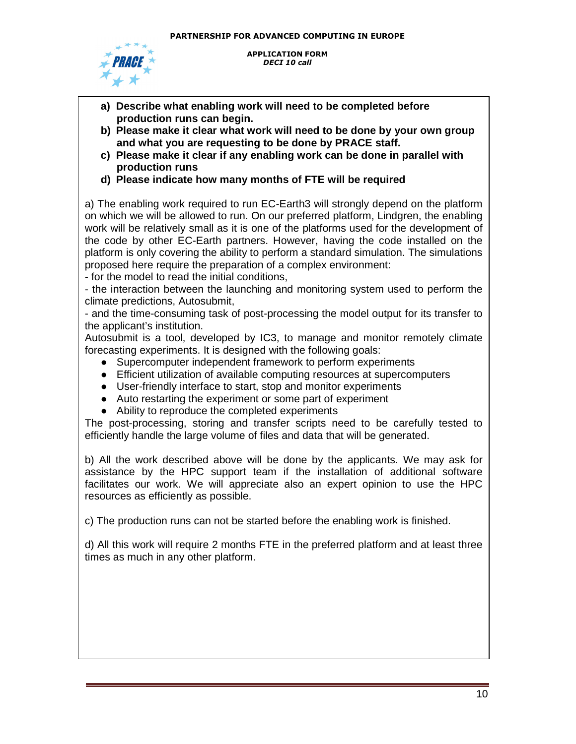

- **a) Describe what enabling work will need to be completed before production runs can begin.**
- **b) Please make it clear what work will need to be done by your own group and what you are requesting to be done by PRACE staff.**
- **c) Please make it clear if any enabling work can be done in parallel with production runs**
- **d) Please indicate how many months of FTE will be required**

a) The enabling work required to run EC-Earth3 will strongly depend on the platform on which we will be allowed to run. On our preferred platform, Lindgren, the enabling work will be relatively small as it is one of the platforms used for the development of the code by other EC-Earth partners. However, having the code installed on the platform is only covering the ability to perform a standard simulation. The simulations proposed here require the preparation of a complex environment:

- for the model to read the initial conditions,

- the interaction between the launching and monitoring system used to perform the climate predictions, Autosubmit,

- and the time-consuming task of post-processing the model output for its transfer to the applicant's institution.

Autosubmit is a tool, developed by IC3, to manage and monitor remotely climate forecasting experiments. It is designed with the following goals:

- Supercomputer independent framework to perform experiments
- Efficient utilization of available computing resources at supercomputers
- User-friendly interface to start, stop and monitor experiments
- Auto restarting the experiment or some part of experiment
- Ability to reproduce the completed experiments

The post-processing, storing and transfer scripts need to be carefully tested to efficiently handle the large volume of files and data that will be generated.

b) All the work described above will be done by the applicants. We may ask for assistance by the HPC support team if the installation of additional software facilitates our work. We will appreciate also an expert opinion to use the HPC resources as efficiently as possible.

c) The production runs can not be started before the enabling work is finished.

d) All this work will require 2 months FTE in the preferred platform and at least three times as much in any other platform.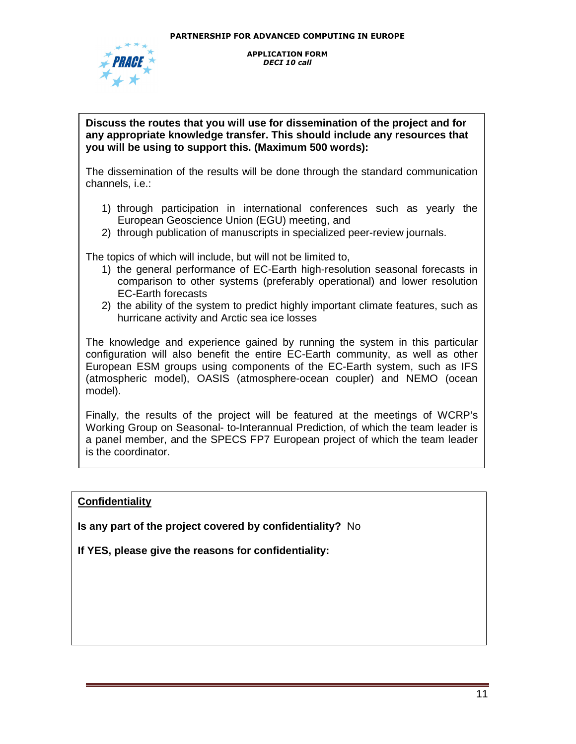

## **Discuss the routes that you will use for dissemination of the project and for any appropriate knowledge transfer. This should include any resources that you will be using to support this. (Maximum 500 words):**

The dissemination of the results will be done through the standard communication channels, i.e.:

- 1) through participation in international conferences such as yearly the European Geoscience Union (EGU) meeting, and
- 2) through publication of manuscripts in specialized peer-review journals.

The topics of which will include, but will not be limited to,

- 1) the general performance of EC-Earth high-resolution seasonal forecasts in comparison to other systems (preferably operational) and lower resolution EC-Earth forecasts
- 2) the ability of the system to predict highly important climate features, such as hurricane activity and Arctic sea ice losses

The knowledge and experience gained by running the system in this particular configuration will also benefit the entire EC-Earth community, as well as other European ESM groups using components of the EC-Earth system, such as IFS (atmospheric model), OASIS (atmosphere-ocean coupler) and NEMO (ocean model).

Finally, the results of the project will be featured at the meetings of WCRP's Working Group on Seasonal- to-Interannual Prediction, of which the team leader is a panel member, and the SPECS FP7 European project of which the team leader is the coordinator.

# **Confidentiality**

**Is any part of the project covered by confidentiality?** No

**If YES, please give the reasons for confidentiality:**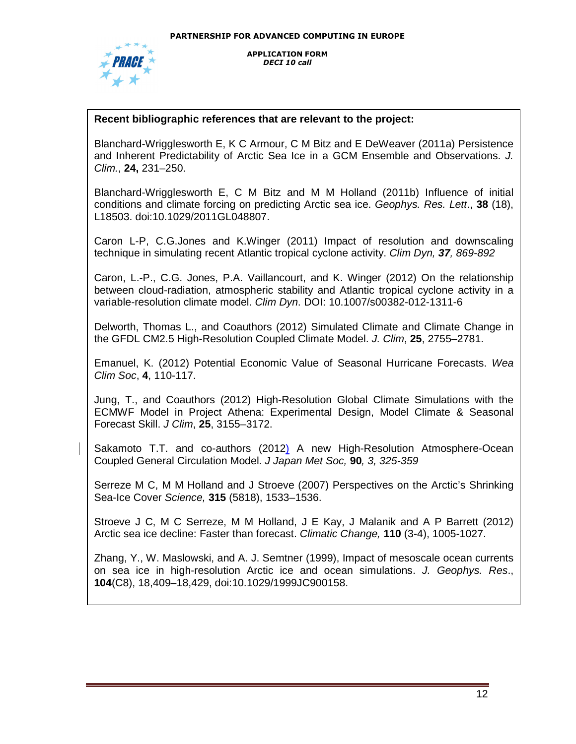

## **Recent bibliographic references that are relevant to the project:**

Blanchard-Wrigglesworth E, K C Armour, C M Bitz and E DeWeaver (2011a) Persistence and Inherent Predictability of Arctic Sea Ice in a GCM Ensemble and Observations. J. Clim., **24,** 231–250.

Blanchard-Wrigglesworth E, C M Bitz and M M Holland (2011b) Influence of initial conditions and climate forcing on predicting Arctic sea ice. Geophys. Res. Lett., **38** (18), L18503. doi:10.1029/2011GL048807.

Caron L-P, C.G.Jones and K.Winger (2011) Impact of resolution and downscaling technique in simulating recent Atlantic tropical cyclone activity. Clim Dyn, **37**, 869-892

Caron, L.-P., C.G. Jones, P.A. Vaillancourt, and K. Winger (2012) On the relationship between cloud-radiation, atmospheric stability and Atlantic tropical cyclone activity in a variable-resolution climate model. Clim Dyn. DOI: 10.1007/s00382-012-1311-6

Delworth, Thomas L., and Coauthors (2012) Simulated Climate and Climate Change in the GFDL CM2.5 High-Resolution Coupled Climate Model. J. Clim, **25**, 2755–2781.

Emanuel, K. (2012) Potential Economic Value of Seasonal Hurricane Forecasts. Wea Clim Soc, **4**, 110-117.

Jung, T., and Coauthors (2012) High-Resolution Global Climate Simulations with the ECMWF Model in Project Athena: Experimental Design, Model Climate & Seasonal Forecast Skill. J Clim, **25**, 3155–3172.

Sakamoto T.T. and co-authors (2012) A new High-Resolution Atmosphere-Ocean Coupled General Circulation Model. J Japan Met Soc, **90**, 3, 325-359

Serreze M C, M M Holland and J Stroeve (2007) Perspectives on the Arctic's Shrinking Sea-Ice Cover Science, **315** (5818), 1533–1536.

Stroeve J C, M C Serreze, M M Holland, J E Kay, J Malanik and A P Barrett (2012) Arctic sea ice decline: Faster than forecast. Climatic Change, **110** (3-4), 1005-1027.

Zhang, Y., W. Maslowski, and A. J. Semtner (1999), Impact of mesoscale ocean currents on sea ice in high-resolution Arctic ice and ocean simulations. J. Geophys. Res., **104**(C8), 18,409–18,429, doi:10.1029/1999JC900158.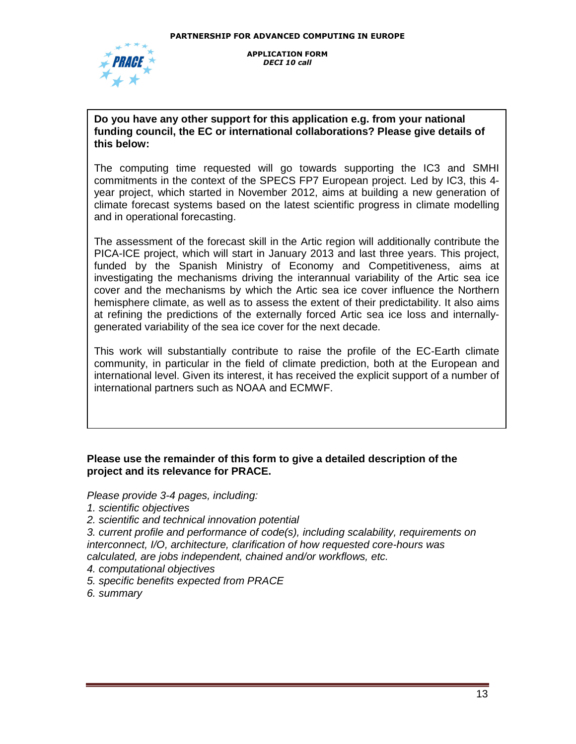

# **Do you have any other support for this application e.g. from your national funding council, the EC or international collaborations? Please give details of this below:**

The computing time requested will go towards supporting the IC3 and SMHI commitments in the context of the SPECS FP7 European project. Led by IC3, this 4 year project, which started in November 2012, aims at building a new generation of climate forecast systems based on the latest scientific progress in climate modelling and in operational forecasting.

The assessment of the forecast skill in the Artic region will additionally contribute the PICA-ICE project, which will start in January 2013 and last three years. This project, funded by the Spanish Ministry of Economy and Competitiveness, aims at investigating the mechanisms driving the interannual variability of the Artic sea ice cover and the mechanisms by which the Artic sea ice cover influence the Northern hemisphere climate, as well as to assess the extent of their predictability. It also aims at refining the predictions of the externally forced Artic sea ice loss and internallygenerated variability of the sea ice cover for the next decade.

This work will substantially contribute to raise the profile of the EC-Earth climate community, in particular in the field of climate prediction, both at the European and international level. Given its interest, it has received the explicit support of a number of international partners such as NOAA and ECMWF.

# **Please use the remainder of this form to give a detailed description of the project and its relevance for PRACE.**

Please provide 3-4 pages, including:

- 1. scientific objectives
- 2. scientific and technical innovation potential

3. current profile and performance of code(s), including scalability, requirements on interconnect, I/O, architecture, clarification of how requested core-hours was calculated, are jobs independent, chained and/or workflows, etc.

- 4. computational objectives
- 5. specific benefits expected from PRACE

6. summary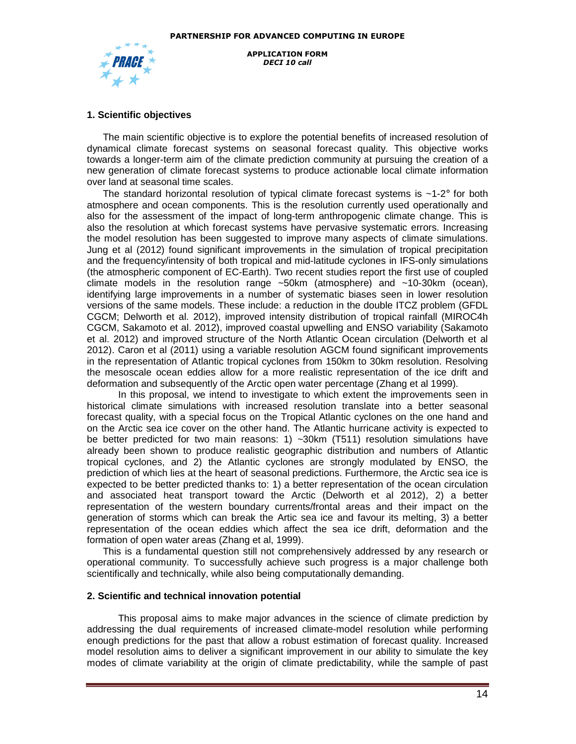

#### **1. Scientific objectives**

The main scientific objective is to explore the potential benefits of increased resolution of dynamical climate forecast systems on seasonal forecast quality. This objective works towards a longer-term aim of the climate prediction community at pursuing the creation of a new generation of climate forecast systems to produce actionable local climate information over land at seasonal time scales.

The standard horizontal resolution of typical climate forecast systems is  $\sim$ 1-2 $\degree$  for both atmosphere and ocean components. This is the resolution currently used operationally and also for the assessment of the impact of long-term anthropogenic climate change. This is also the resolution at which forecast systems have pervasive systematic errors. Increasing the model resolution has been suggested to improve many aspects of climate simulations. Jung et al (2012) found significant improvements in the simulation of tropical precipitation and the frequency/intensity of both tropical and mid-latitude cyclones in IFS-only simulations (the atmospheric component of EC-Earth). Two recent studies report the first use of coupled climate models in the resolution range ~50km (atmosphere) and ~10-30km (ocean), identifying large improvements in a number of systematic biases seen in lower resolution versions of the same models. These include: a reduction in the double ITCZ problem (GFDL CGCM; Delworth et al. 2012), improved intensity distribution of tropical rainfall (MIROC4h CGCM, Sakamoto et al. 2012), improved coastal upwelling and ENSO variability (Sakamoto et al. 2012) and improved structure of the North Atlantic Ocean circulation (Delworth et al 2012). Caron et al (2011) using a variable resolution AGCM found significant improvements in the representation of Atlantic tropical cyclones from 150km to 30km resolution. Resolving the mesoscale ocean eddies allow for a more realistic representation of the ice drift and deformation and subsequently of the Arctic open water percentage (Zhang et al 1999).

 In this proposal, we intend to investigate to which extent the improvements seen in historical climate simulations with increased resolution translate into a better seasonal forecast quality, with a special focus on the Tropical Atlantic cyclones on the one hand and on the Arctic sea ice cover on the other hand. The Atlantic hurricane activity is expected to be better predicted for two main reasons: 1) ~30km (T511) resolution simulations have already been shown to produce realistic geographic distribution and numbers of Atlantic tropical cyclones, and 2) the Atlantic cyclones are strongly modulated by ENSO, the prediction of which lies at the heart of seasonal predictions. Furthermore, the Arctic sea ice is expected to be better predicted thanks to: 1) a better representation of the ocean circulation and associated heat transport toward the Arctic (Delworth et al 2012), 2) a better representation of the western boundary currents/frontal areas and their impact on the generation of storms which can break the Artic sea ice and favour its melting, 3) a better representation of the ocean eddies which affect the sea ice drift, deformation and the formation of open water areas (Zhang et al, 1999).

This is a fundamental question still not comprehensively addressed by any research or operational community. To successfully achieve such progress is a major challenge both scientifically and technically, while also being computationally demanding.

#### **2. Scientific and technical innovation potential**

This proposal aims to make major advances in the science of climate prediction by addressing the dual requirements of increased climate-model resolution while performing enough predictions for the past that allow a robust estimation of forecast quality. Increased model resolution aims to deliver a significant improvement in our ability to simulate the key modes of climate variability at the origin of climate predictability, while the sample of past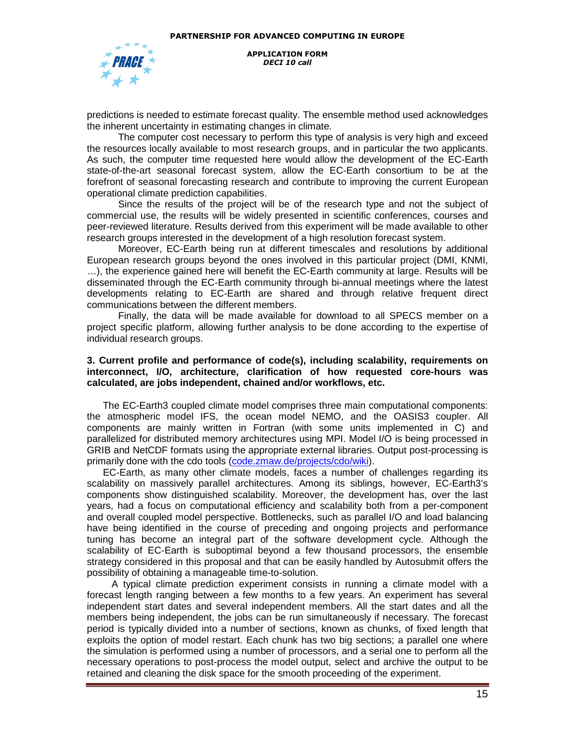

predictions is needed to estimate forecast quality. The ensemble method used acknowledges the inherent uncertainty in estimating changes in climate.

 The computer cost necessary to perform this type of analysis is very high and exceed the resources locally available to most research groups, and in particular the two applicants. As such, the computer time requested here would allow the development of the EC-Earth state-of-the-art seasonal forecast system, allow the EC-Earth consortium to be at the forefront of seasonal forecasting research and contribute to improving the current European operational climate prediction capabilities.

 Since the results of the project will be of the research type and not the subject of commercial use, the results will be widely presented in scientific conferences, courses and peer-reviewed literature. Results derived from this experiment will be made available to other research groups interested in the development of a high resolution forecast system.

 Moreover, EC-Earth being run at different timescales and resolutions by additional European research groups beyond the ones involved in this particular project (DMI, KNMI, …), the experience gained here will benefit the EC-Earth community at large. Results will be disseminated through the EC-Earth community through bi-annual meetings where the latest developments relating to EC-Earth are shared and through relative frequent direct communications between the different members.

 Finally, the data will be made available for download to all SPECS member on a project specific platform, allowing further analysis to be done according to the expertise of individual research groups.

#### **3. Current profile and performance of code(s), including scalability, requirements on interconnect, I/O, architecture, clarification of how requested core-hours was calculated, are jobs independent, chained and/or workflows, etc.**

The EC-Earth3 coupled climate model comprises three main computational components: the atmospheric model IFS, the ocean model NEMO, and the OASIS3 coupler. All components are mainly written in Fortran (with some units implemented in C) and parallelized for distributed memory architectures using MPI. Model I/O is being processed in GRIB and NetCDF formats using the appropriate external libraries. Output post-processing is primarily done with the cdo tools (code.zmaw.de/projects/cdo/wiki).

EC-Earth, as many other climate models, faces a number of challenges regarding its scalability on massively parallel architectures. Among its siblings, however, EC-Earth3's components show distinguished scalability. Moreover, the development has, over the last years, had a focus on computational efficiency and scalability both from a per-component and overall coupled model perspective. Bottlenecks, such as parallel I/O and load balancing have being identified in the course of preceding and ongoing projects and performance tuning has become an integral part of the software development cycle. Although the scalability of EC-Earth is suboptimal beyond a few thousand processors, the ensemble strategy considered in this proposal and that can be easily handled by Autosubmit offers the possibility of obtaining a manageable time-to-solution.

 A typical climate prediction experiment consists in running a climate model with a forecast length ranging between a few months to a few years. An experiment has several independent start dates and several independent members. All the start dates and all the members being independent, the jobs can be run simultaneously if necessary. The forecast period is typically divided into a number of sections, known as chunks, of fixed length that exploits the option of model restart. Each chunk has two big sections; a parallel one where the simulation is performed using a number of processors, and a serial one to perform all the necessary operations to post-process the model output, select and archive the output to be retained and cleaning the disk space for the smooth proceeding of the experiment.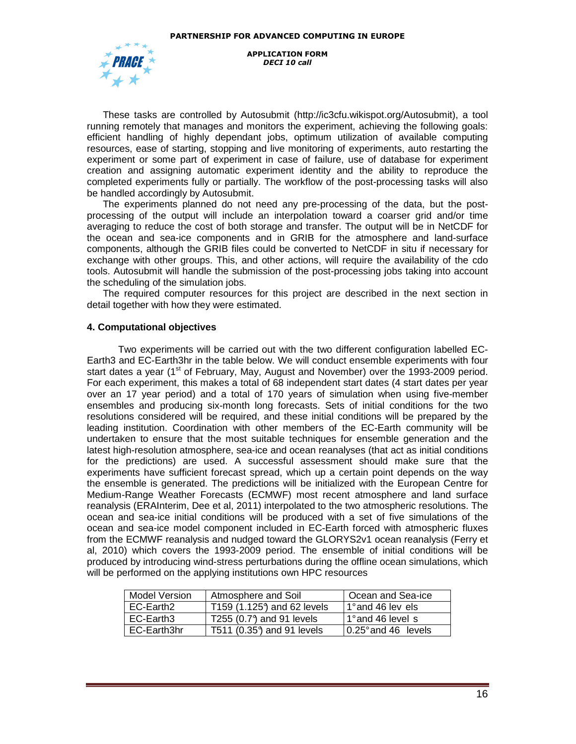

These tasks are controlled by Autosubmit (http://ic3cfu.wikispot.org/Autosubmit), a tool running remotely that manages and monitors the experiment, achieving the following goals: efficient handling of highly dependant jobs, optimum utilization of available computing resources, ease of starting, stopping and live monitoring of experiments, auto restarting the experiment or some part of experiment in case of failure, use of database for experiment creation and assigning automatic experiment identity and the ability to reproduce the completed experiments fully or partially. The workflow of the post-processing tasks will also be handled accordingly by Autosubmit.

The experiments planned do not need any pre-processing of the data, but the postprocessing of the output will include an interpolation toward a coarser grid and/or time averaging to reduce the cost of both storage and transfer. The output will be in NetCDF for the ocean and sea-ice components and in GRIB for the atmosphere and land-surface components, although the GRIB files could be converted to NetCDF in situ if necessary for exchange with other groups. This, and other actions, will require the availability of the cdo tools. Autosubmit will handle the submission of the post-processing jobs taking into account the scheduling of the simulation jobs.

The required computer resources for this project are described in the next section in detail together with how they were estimated.

#### **4. Computational objectives**

 Two experiments will be carried out with the two different configuration labelled EC-Earth3 and EC-Earth3hr in the table below. We will conduct ensemble experiments with four start dates a year (1<sup>st</sup> of February, May, August and November) over the 1993-2009 period. For each experiment, this makes a total of 68 independent start dates (4 start dates per year over an 17 year period) and a total of 170 years of simulation when using five-member ensembles and producing six-month long forecasts. Sets of initial conditions for the two resolutions considered will be required, and these initial conditions will be prepared by the leading institution. Coordination with other members of the EC-Earth community will be undertaken to ensure that the most suitable techniques for ensemble generation and the latest high-resolution atmosphere, sea-ice and ocean reanalyses (that act as initial conditions for the predictions) are used. A successful assessment should make sure that the experiments have sufficient forecast spread, which up a certain point depends on the way the ensemble is generated. The predictions will be initialized with the European Centre for Medium-Range Weather Forecasts (ECMWF) most recent atmosphere and land surface reanalysis (ERAInterim, Dee et al, 2011) interpolated to the two atmospheric resolutions. The ocean and sea-ice initial conditions will be produced with a set of five simulations of the ocean and sea-ice model component included in EC-Earth forced with atmospheric fluxes from the ECMWF reanalysis and nudged toward the GLORYS2v1 ocean reanalysis (Ferry et al, 2010) which covers the 1993-2009 period. The ensemble of initial conditions will be produced by introducing wind-stress perturbations during the offline ocean simulations, which will be performed on the applying institutions own HPC resources

| <b>Model Version</b> | Atmosphere and Soil        | Ocean and Sea-ice             |
|----------------------|----------------------------|-------------------------------|
| EC-Earth2            | T159 (1.125) and 62 levels | 1 <sup>o</sup> and 46 lev els |
| EC-Earth3            | T255 (0.7°) and 91 levels  | l 1°and 46 level_s            |
| EC-Earth3hr          | T511 (0.35°) and 91 levels | 10.25° and 46 levels          |